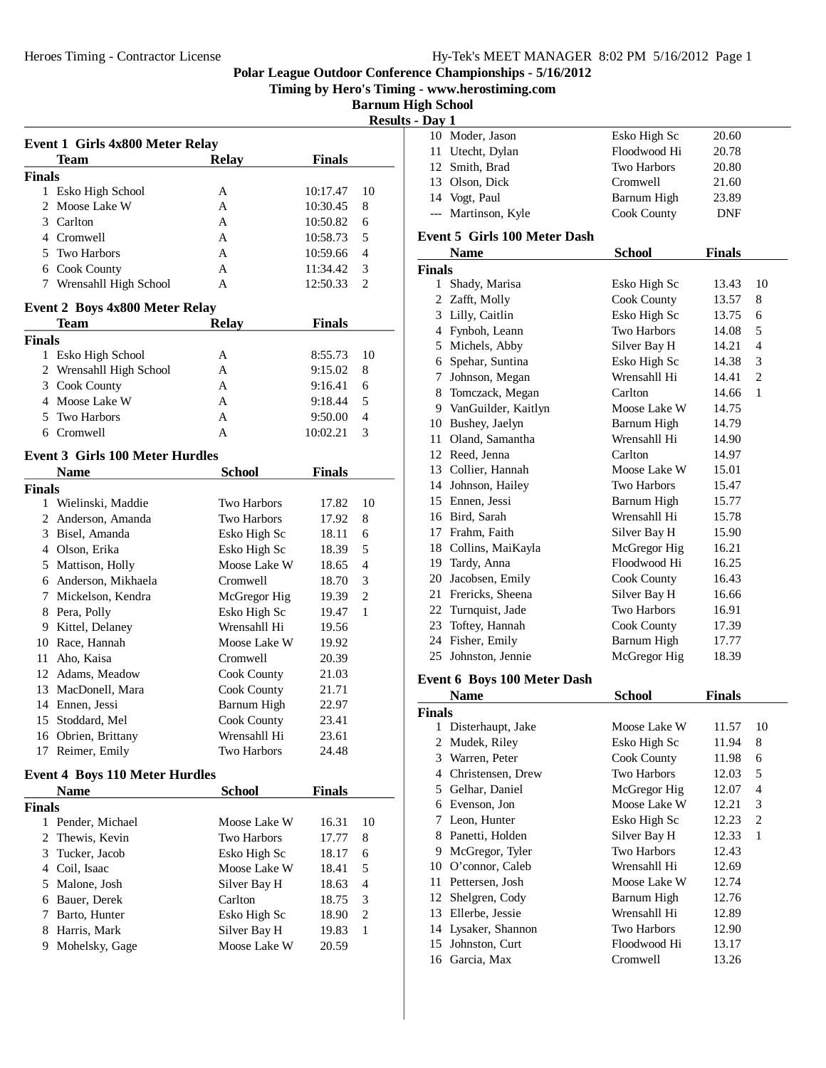**Timing by Hero's Timing - www.herostiming.com**

**Barnum High School Results - Day 1**

|               | <b>Event 1 Girls 4x800 Meter Relay</b> |                    |               |                     |
|---------------|----------------------------------------|--------------------|---------------|---------------------|
|               | <b>Team</b>                            | <b>Relay</b>       | <b>Finals</b> |                     |
| <b>Finals</b> |                                        |                    |               |                     |
|               | 1 Esko High School                     | А                  | 10:17.47      | 10                  |
| 2             | Moose Lake W                           | A                  | 10:30.45      | 8                   |
|               | 3 Carlton                              | A                  | 10:50.82      | 6                   |
|               | 4 Cromwell                             | A                  | 10:58.73      | 5                   |
|               | 5 Two Harbors                          | A                  | 10:59.66      | 4                   |
|               | 6 Cook County                          | A                  | 11:34.42      | 3                   |
|               | 7 Wrensahll High School                | A                  | 12:50.33      | 2                   |
|               | <b>Event 2 Boys 4x800 Meter Relay</b>  |                    |               |                     |
|               | Team                                   | <b>Relay</b>       | <b>Finals</b> |                     |
| <b>Finals</b> |                                        |                    |               |                     |
|               | 1 Esko High School                     | А                  | 8:55.73       | 10                  |
|               | 2 Wrensahll High School                | A                  | 9:15.02       | 8                   |
|               | 3 Cook County                          | A                  | 9:16.41       | 6                   |
|               | 4 Moose Lake W                         | A                  | 9:18.44       | 5                   |
|               | 5 Two Harbors                          | A                  | 9:50.00       | 4                   |
|               | 6 Cromwell                             | A                  | 10:02.21      | 3                   |
|               | <b>Event 3 Girls 100 Meter Hurdles</b> |                    |               |                     |
|               | <b>Name</b>                            | <b>School</b>      | <b>Finals</b> |                     |
| <b>Finals</b> |                                        |                    |               |                     |
|               | 1 Wielinski, Maddie                    | <b>Two Harbors</b> | 17.82         | 10                  |
|               | 2 Anderson, Amanda                     | <b>Two Harbors</b> | 17.92         | 8                   |
|               | 3 Bisel, Amanda                        | Esko High Sc       | 18.11         | 6                   |
|               | 4 Olson, Erika                         | Esko High Sc       | 18.39         | 5                   |
|               | 5 Mattison, Holly                      | Moose Lake W       | 18.65         | 4                   |
|               | 6 Anderson, Mikhaela                   | Cromwell           | 18.70         | 3                   |
|               | 7 Mickelson, Kendra                    | McGregor Hig       | 19.39         | $\overline{c}$      |
|               | 8 Pera, Polly                          | Esko High Sc       | 19.47         | 1                   |
|               | 9 Kittel, Delaney                      | Wrensahll Hi       | 19.56         |                     |
|               | 10 Race, Hannah                        | Moose Lake W       | 19.92         |                     |
|               | 11 Aho, Kaisa                          | Cromwell           | 20.39         |                     |
|               | 12 Adams, Meadow                       | Cook County        | 21.03         |                     |
|               | 13 MacDonell, Mara                     | Cook County        | 21.71         |                     |
|               | 14 Ennen, Jessi                        | Barnum High        | 22.97         |                     |
| 15            | Stoddard, Mel                          | Cook County        | 23.41         |                     |
|               | 16 Obrien, Brittany                    | Wrensahll Hi       | 23.61         |                     |
| 17            | Reimer, Emily                          | Two Harbors        | 24.48         |                     |
|               | <b>Event 4 Boys 110 Meter Hurdles</b>  |                    |               |                     |
|               | <b>Name</b>                            | <b>School</b>      | <b>Finals</b> |                     |
| <b>Finals</b> |                                        |                    |               |                     |
|               | 1 Pender, Michael                      | Moose Lake W       | 16.31         | 10                  |
| 2             | Thewis, Kevin                          | Two Harbors        | 17.77         | 8                   |
|               | 3 Tucker, Jacob                        | Esko High Sc       | 18.17         | 6                   |
|               | 4 Coil, Isaac                          | Moose Lake W       | 18.41         | 5                   |
|               | 5 Malone, Josh                         |                    |               | 4                   |
|               |                                        | Silver Bay H       | 18.63         |                     |
|               | 6 Bauer, Derek                         | Carlton            | 18.75         | 3<br>$\overline{c}$ |
|               | 7 Barto, Hunter                        | Esko High Sc       | 18.90         | 1                   |
|               | 8 Harris, Mark                         | Silver Bay H       | 19.83         |                     |
| 9.            | Mohelsky, Gage                         | Moose Lake W       | 20.59         |                     |

| иау 1 |                     |                    |            |
|-------|---------------------|--------------------|------------|
|       | 10 Moder, Jason     | Esko High Sc       | 20.60      |
|       | 11 Utecht, Dylan    | Floodwood Hi       | 20.78      |
|       | 12 Smith, Brad      | <b>Two Harbors</b> | 20.80      |
|       | 13 Olson, Dick      | Cromwell           | 21.60      |
|       | 14 Vogt, Paul       | Barnum High        | 23.89      |
|       | --- Martinson, Kyle | Cook County        | <b>DNF</b> |
|       |                     |                    |            |

## **Event 5 Girls 100 Meter Dash**

|               | <b>Name</b>                        | <b>School</b> | <b>Finals</b> |                |
|---------------|------------------------------------|---------------|---------------|----------------|
| <b>Finals</b> |                                    |               |               |                |
| $\mathbf{1}$  | Shady, Marisa                      | Esko High Sc  | 13.43         | 10             |
|               | 2 Zafft, Molly                     | Cook County   | 13.57         | 8              |
| 3             | Lilly, Caitlin                     | Esko High Sc  | 13.75         | 6              |
|               | 4 Fynboh, Leann                    | Two Harbors   | 14.08         | 5              |
|               | 5 Michels, Abby                    | Silver Bay H  | 14.21         | 4              |
| 6             | Spehar, Suntina                    | Esko High Sc  | 14.38         | 3              |
| 7             | Johnson, Megan                     | Wrensahll Hi  | 14.41         | $\overline{2}$ |
|               | 8 Tomczack, Megan                  | Carlton       | 14.66         | $\mathbf{1}$   |
|               | 9 VanGuilder, Kaitlyn              | Moose Lake W  | 14.75         |                |
| 10            | Bushey, Jaelyn                     | Barnum High   | 14.79         |                |
| 11            | Oland, Samantha                    | Wrensahll Hi  | 14.90         |                |
|               | 12 Reed, Jenna                     | Carlton       | 14.97         |                |
|               | 13 Collier, Hannah                 | Moose Lake W  | 15.01         |                |
|               | 14 Johnson, Hailey                 | Two Harbors   | 15.47         |                |
|               | 15 Ennen. Jessi                    | Barnum High   | 15.77         |                |
|               | 16 Bird, Sarah                     | Wrensahll Hi  | 15.78         |                |
| 17            | Frahm, Faith                       | Silver Bay H  | 15.90         |                |
|               | 18 Collins, MaiKayla               | McGregor Hig  | 16.21         |                |
|               | 19 Tardy, Anna                     | Floodwood Hi  | 16.25         |                |
| 20            | Jacobsen, Emily                    | Cook County   | 16.43         |                |
| 21            | Frericks, Sheena                   | Silver Bay H  | 16.66         |                |
|               | 22 Turnquist, Jade                 | Two Harbors   | 16.91         |                |
|               | 23 Toftey, Hannah                  | Cook County   | 17.39         |                |
| 24            | Fisher, Emily                      | Barnum High   | 17.77         |                |
|               | 25 Johnston, Jennie                | McGregor Hig  | 18.39         |                |
|               | <b>Event 6 Boys 100 Meter Dash</b> |               |               |                |
|               |                                    |               |               |                |

|               | Name                | School             | Finals |                |
|---------------|---------------------|--------------------|--------|----------------|
| <b>Finals</b> |                     |                    |        |                |
|               | Disterhaupt, Jake   | Moose Lake W       | 11.57  | 10             |
| 2             | Mudek, Riley        | Esko High Sc       | 11.94  | 8              |
| 3             | Warren, Peter       | Cook County        | 11.98  | 6              |
| 4             | Christensen, Drew   | <b>Two Harbors</b> | 12.03  | 5              |
| 5.            | Gelhar, Daniel      | McGregor Hig       | 12.07  | 4              |
| 6             | Evenson, Jon        | Moose Lake W       | 12.21  | 3              |
| 7             | Leon, Hunter        | Esko High Sc       | 12.23  | $\overline{c}$ |
| 8             | Panetti, Holden     | Silver Bay H       | 12.33  | 1              |
| 9             | McGregor, Tyler     | <b>Two Harbors</b> | 12.43  |                |
| 10            | O'connor, Caleb     | Wrensahll Hi       | 12.69  |                |
| 11            | Pettersen, Josh     | Moose Lake W       | 12.74  |                |
| 12            | Shelgren, Cody      | Barnum High        | 12.76  |                |
| 13            | Ellerbe, Jessie     | Wrensahll Hi       | 12.89  |                |
|               | 14 Lysaker, Shannon | Two Harbors        | 12.90  |                |
| 15            | Johnston, Curt      | Floodwood Hi       | 13.17  |                |
|               | 16 Garcia, Max      | Cromwell           | 13.26  |                |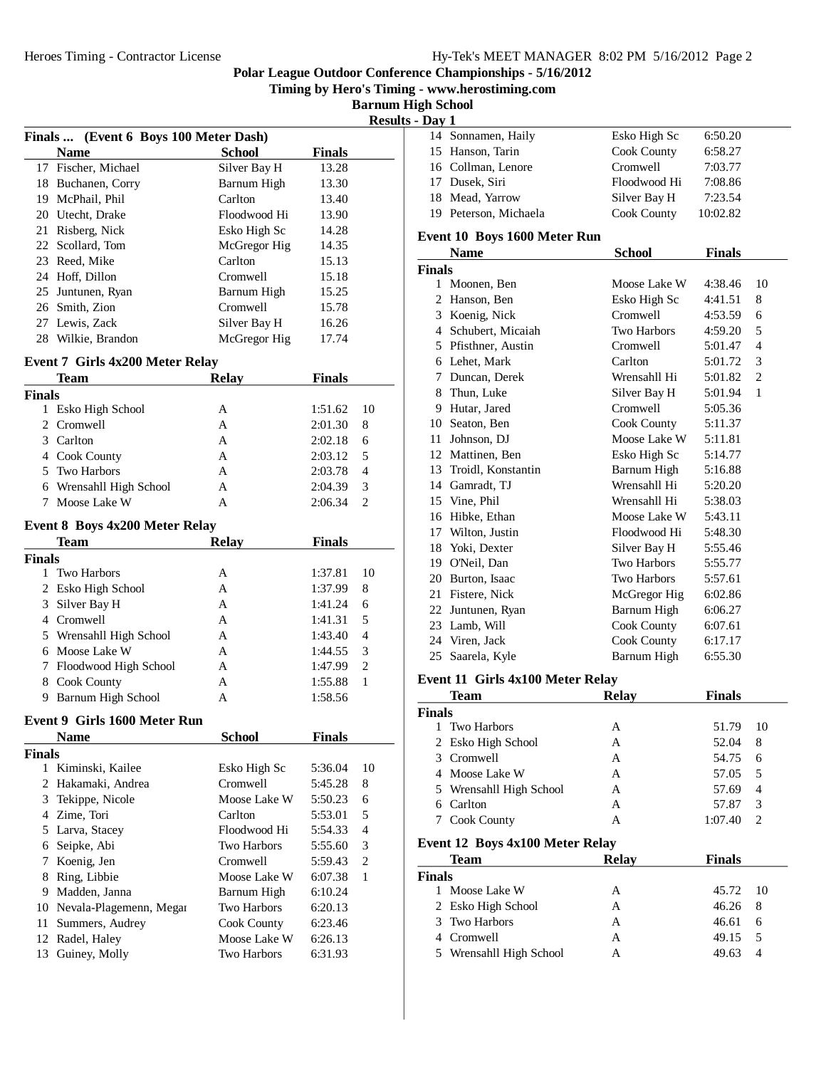**Timing by Hero's Timing - www.herostiming.com**

**Barnum High School Results - Day 1**

|                                       |              |               | resu |
|---------------------------------------|--------------|---------------|------|
| Finals  (Event 6 Boys 100 Meter Dash) |              |               |      |
| <b>Name</b>                           | School       | <b>Finals</b> |      |
| 17 Fischer, Michael                   | Silver Bay H | 13.28         |      |
| Buchanen, Corry                       | Barnum High  | 13.30         |      |
| McPhail, Phil                         | Carlton      | 13.40         |      |
| 20 Utecht, Drake                      | Floodwood Hi | 13.90         |      |
| Risberg, Nick                         | Esko High Sc | 14.28         |      |
| 22 Scollard, Tom                      | McGregor Hig | 14.35         |      |
| 23 Reed, Mike                         | Carlton      | 15.13         |      |
| 24 Hoff, Dillon                       | Cromwell     | 15.18         |      |
| Juntunen, Ryan<br>25                  | Barnum High  | 15.25         |      |
| 26 Smith, Zion                        | Cromwell     | 15.78         |      |
| 27 Lewis, Zack                        | Silver Bay H | 16.26         |      |
| Wilkie, Brandon                       | McGregor Hig | 17.74         |      |
|                                       |              |               |      |

#### **Event 7 Girls 4x200 Meter Relay**

| Team                                  | <b>Relav</b> | <b>Finals</b> |                             |
|---------------------------------------|--------------|---------------|-----------------------------|
| <b>Finals</b>                         |              |               |                             |
| 1 Esko High School                    | А            | 1:51.62       | - 10                        |
| 2 Cromwell                            | A            | 2:01.30       | 8                           |
| 3 Carlton                             | A            | 2:02.18       | 6                           |
| 4 Cook County                         | А            | 2:03.12       | 5                           |
| 5 Two Harbors                         | A            | 2:03.78       | $\overline{4}$              |
| 6 Wrensahll High School               | A            | 2:04.39       | 3                           |
| 7 Moose Lake W                        | А            | 2:06.34       | $\mathcal{D}_{\mathcal{L}}$ |
| <b>Event 8 Boys 4x200 Meter Relay</b> |              |               |                             |

| Team                    | Relav | <b>Finals</b> |                             |  |  |  |
|-------------------------|-------|---------------|-----------------------------|--|--|--|
| Finals                  |       |               |                             |  |  |  |
| Two Harbors             | A     | 1:37.81       | 10                          |  |  |  |
| 2 Esko High School      | А     | 1:37.99       | 8                           |  |  |  |
| 3 Silver Bay H          | А     | 1:41.24       | 6                           |  |  |  |
| 4 Cromwell              | A     | 1:41.31       | 5                           |  |  |  |
| 5 Wrensahll High School | А     | 1:43.40       | 4                           |  |  |  |
| 6 Moose Lake W          | A     | 1:44.55       | 3                           |  |  |  |
| 7 Floodwood High School | A     | 1:47.99       | $\mathcal{D}_{\mathcal{L}}$ |  |  |  |
| Cook County<br>8        | A     | 1:55.88       |                             |  |  |  |
| Barnum High School<br>9 | А     | 1:58.56       |                             |  |  |  |

# **Event 9 Girls 1600 Meter Run**

|               | <b>Name</b>                | School       | <b>Finals</b> |                |
|---------------|----------------------------|--------------|---------------|----------------|
| <b>Finals</b> |                            |              |               |                |
| 1             | Kiminski, Kailee           | Esko High Sc | 5:36.04       | 10             |
|               | 2 Hakamaki, Andrea         | Cromwell     | 5:45.28       | 8              |
|               | 3 Tekippe, Nicole          | Moose Lake W | 5:50.23       | 6              |
|               | 4 Zime, Tori               | Carlton      | 5:53.01       | 5              |
|               | 5 Larva, Stacey            | Floodwood Hi | 5:54.33       | $\overline{4}$ |
|               | 6 Seipke, Abi              | Two Harbors  | 5:55.60       | 3              |
|               | Koenig, Jen                | Cromwell     | 5:59.43       | 2              |
| 8             | Ring, Libbie               | Moose Lake W | 6:07.38       | 1              |
| 9             | Madden, Janna              | Barnum High  | 6:10.24       |                |
|               | 10 Nevala-Plagemenn, Megar | Two Harbors  | 6:20.13       |                |
| 11            | Summers, Audrey            | Cook County  | 6:23.46       |                |
|               | 12 Radel, Haley            | Moose Lake W | 6:26.13       |                |
| 13            | Guiney, Molly              | Two Harbors  | 6:31.93       |                |
|               |                            |              |               |                |

| лау 1 |                       |              |          |
|-------|-----------------------|--------------|----------|
|       | 14 Sonnamen, Haily    | Esko High Sc | 6:50.20  |
|       | 15 Hanson, Tarin      | Cook County  | 6:58.27  |
|       | 16 Collman, Lenore    | Cromwell     | 7:03.77  |
|       | 17 Dusek, Siri        | Floodwood Hi | 7:08.86  |
|       | 18 Mead, Yarrow       | Silver Bay H | 7:23.54  |
|       | 19 Peterson, Michaela | Cook County  | 10:02.82 |

#### **Event 10 Boys 1600 Meter Run**

|               | <b>Name</b>        | School             | <b>Finals</b> |                |
|---------------|--------------------|--------------------|---------------|----------------|
| <b>Finals</b> |                    |                    |               |                |
|               | 1 Moonen, Ben      | Moose Lake W       | 4:38.46       | 10             |
| 2             | Hanson, Ben        | Esko High Sc       | 4:41.51       | 8              |
|               | 3 Koenig, Nick     | Cromwell           | 4:53.59       | 6              |
| 4             | Schubert, Micaiah  | <b>Two Harbors</b> | 4:59.20       | 5              |
| 5             | Pfisthner, Austin  | Cromwell           | 5:01.47       | 4              |
| 6             | Lehet, Mark        | Carlton            | 5:01.72       | 3              |
| 7             | Duncan, Derek      | Wrensahll Hi       | 5:01.82       | $\overline{c}$ |
| 8             | Thun, Luke         | Silver Bay H       | 5:01.94       | 1              |
| 9             | Hutar, Jared       | Cromwell           | 5:05.36       |                |
| 10            | Seaton, Ben        | Cook County        | 5:11.37       |                |
| 11            | Johnson, DJ        | Moose Lake W       | 5:11.81       |                |
| 12            | Mattinen, Ben      | Esko High Sc       | 5:14.77       |                |
| 13            | Troidl, Konstantin | Barnum High        | 5:16.88       |                |
| 14            | Gamradt, TJ        | Wrensahll Hi       | 5:20.20       |                |
|               | 15 Vine, Phil      | Wrensahll Hi       | 5:38.03       |                |
|               | 16 Hibke, Ethan    | Moose Lake W       | 5:43.11       |                |
| 17            | Wilton, Justin     | Floodwood Hi       | 5:48.30       |                |
| 18            | Yoki, Dexter       | Silver Bay H       | 5:55.46       |                |
|               | 19 O'Neil, Dan     | <b>Two Harbors</b> | 5:55.77       |                |
| 20            | Burton, Isaac      | <b>Two Harbors</b> | 5:57.61       |                |
| 21            | Fistere, Nick      | McGregor Hig       | 6:02.86       |                |
| 22            | Juntunen, Ryan     | Barnum High        | 6:06.27       |                |
|               | 23 Lamb, Will      | Cook County        | 6:07.61       |                |
|               | 24 Viren, Jack     | Cook County        | 6:17.17       |                |
| 25            | Saarela, Kyle      | Barnum High        | 6:55.30       |                |

#### **Event 11 Girls 4x100 Meter Relay**

|                                 | Team                  | <b>Relay</b> | <b>Finals</b> |                |  |
|---------------------------------|-----------------------|--------------|---------------|----------------|--|
| Finals                          |                       |              |               |                |  |
|                                 | 1 Two Harbors         | A            | 51.79         | 10             |  |
|                                 | 2 Esko High School    | A            | 52.04         | 8              |  |
| 3                               | Cromwell              | A            | 54.75         | 6              |  |
|                                 | Moose Lake W          | A            | 57.05         | 5              |  |
| 5                               | Wrensahll High School | A            | 57.69         | $\overline{4}$ |  |
| 6                               | Carlton               | A            | 57.87         | 3              |  |
| 7                               | <b>Cook County</b>    | A            | 1:07.40       | $\overline{c}$ |  |
| Event 12 Boys 4x100 Meter Relay |                       |              |               |                |  |
|                                 |                       |              |               |                |  |
|                                 | Team                  | Relav        | <b>Finals</b> |                |  |
| Finals                          |                       |              |               |                |  |
| Ι.                              | Moose Lake W          | A            | 45.72         | 10             |  |
| 2                               | Esko High School      | A            | 46.26         | 8              |  |
| 3                               | Two Harbors           | A            | 46.61         | 6              |  |
| 4                               | Cromwell              | A            | 49.15         | 5              |  |
| 5                               | Wrensahll High School | А            | 49.63         | 4              |  |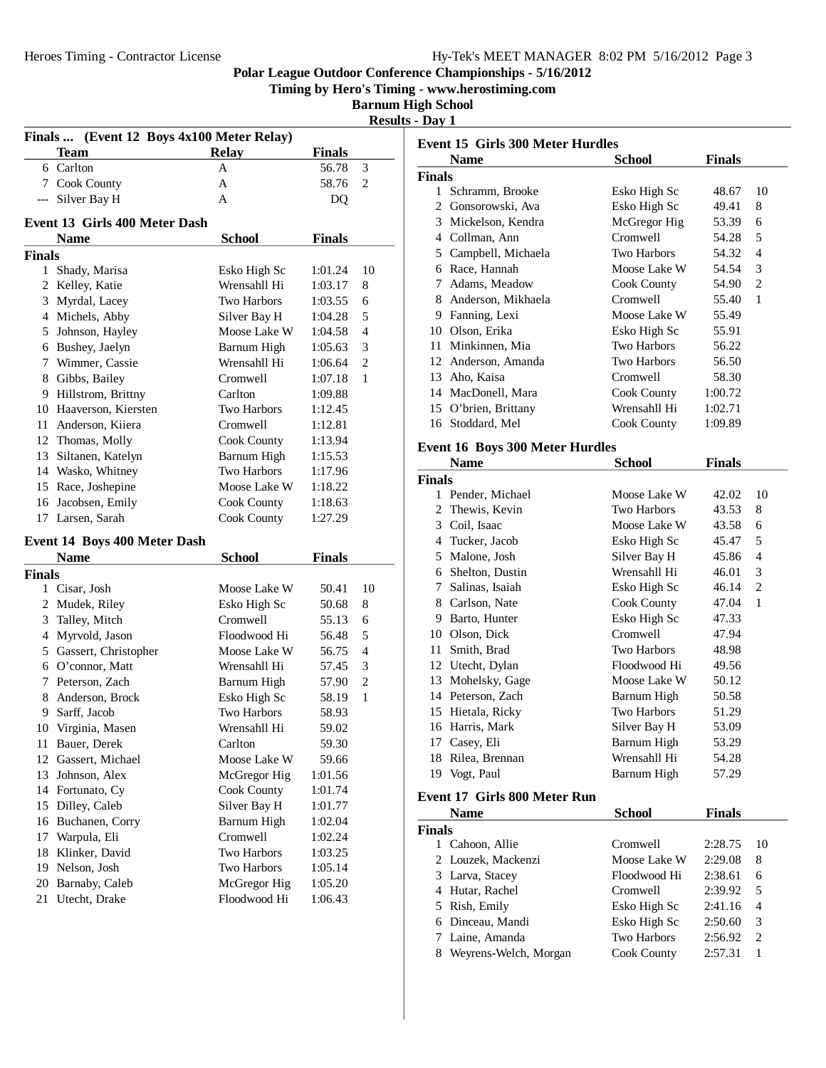**Timing by Hero's Timing - www.herostiming.com**

**Barnum High School Results - Day 1**

|                |                               |                                   |               | racou          |
|----------------|-------------------------------|-----------------------------------|---------------|----------------|
| <b>Finals</b>  |                               | (Event 12 Boys 4x100 Meter Relay) |               |                |
|                | Team                          | <b>Relay</b>                      | <b>Finals</b> |                |
|                | 6 Carlton                     | A                                 | 56.78         | 3              |
|                | 7 Cook County                 | A                                 | 58.76         | 2              |
|                | --- Silver Bay H              | A                                 | DQ            |                |
|                | Event 13 Girls 400 Meter Dash |                                   |               |                |
|                | <b>Name</b>                   | <b>School</b>                     | <b>Finals</b> |                |
| <b>Finals</b>  |                               |                                   |               |                |
| 1              | Shady, Marisa                 | Esko High Sc                      | 1:01.24       | 10             |
|                | 2 Kelley, Katie               | Wrensahll Hi                      | 1:03.17       | 8              |
|                | 3 Myrdal, Lacey               | <b>Two Harbors</b>                | 1:03.55       | 6              |
|                | 4 Michels, Abby               | Silver Bay H                      | 1:04.28       | 5              |
|                | 5 Johnson, Hayley             | Moose Lake W                      | 1:04.58       | $\overline{4}$ |
|                | 6 Bushey, Jaelyn              | Barnum High                       | 1:05.63       | 3              |
| 7              | Wimmer, Cassie                | Wrensahll Hi                      | 1:06.64       | $\mathfrak{2}$ |
|                | 8 Gibbs, Bailey               | Cromwell                          | 1:07.18       | 1              |
| 9.             | Hillstrom, Brittny            | Carlton                           | 1:09.88       |                |
|                | 10 Haaverson, Kiersten        | Two Harbors                       | 1:12.45       |                |
|                | 11 Anderson, Kiiera           | Cromwell                          | 1:12.81       |                |
|                | 12 Thomas, Molly              | Cook County                       | 1:13.94       |                |
|                | 13 Siltanen, Katelyn          | <b>Barnum High</b>                | 1:15.53       |                |
|                | 14 Wasko, Whitney             | Two Harbors                       | 1:17.96       |                |
|                | 15 Race, Joshepine            | Moose Lake W                      | 1:18.22       |                |
| 16             | Jacobsen, Emily               | Cook County                       | 1:18.63       |                |
| 17             | Larsen, Sarah                 | Cook County                       | 1:27.29       |                |
|                |                               |                                   |               |                |
|                | Event 14 Boys 400 Meter Dash  |                                   |               |                |
|                | <b>Name</b>                   | <b>School</b>                     | <b>Finals</b> |                |
| <b>Finals</b>  |                               |                                   |               |                |
|                | 1 Cisar, Josh                 | Moose Lake W                      | 50.41         | 10             |
| $\overline{2}$ | Mudek, Riley                  | Esko High Sc                      | 50.68         | 8              |
| 3              | Talley, Mitch                 | Cromwell                          | 55.13         | 6              |
| 4              | Myrvold, Jason                | Floodwood Hi                      | 56.48         | 5              |
|                | 5 Gassert, Christopher        | Moose Lake W                      | 56.75         | 4              |
|                | 6 O'connor, Matt              | Wrensahll Hi                      | 57.45         | 3              |
| 7              | Peterson, Zach                | Barnum High                       | 57.90         | $\overline{c}$ |
| 8              | Anderson, Brock               | Esko High Sc                      | 58.19         | 1              |
|                | 9 Sarff, Jacob                | Two Harbors                       | 58.93         |                |
|                | 10 Virginia, Masen            | Wrensahll Hi                      | 59.02         |                |
| 11             | Bauer, Derek                  | Carlton                           | 59.30         |                |
|                | 12 Gassert, Michael           | Moose Lake W                      | 59.66         |                |
| 13             | Johnson, Alex                 | McGregor Hig                      | 1:01.56       |                |
|                | 14 Fortunato, Cy              | Cook County                       | 1:01.74       |                |
| 15             | Dilley, Caleb                 | Silver Bay H                      | 1:01.77       |                |
| 16             | Buchanen, Corry               | Barnum High                       | 1:02.04       |                |
| 17             | Warpula, Eli                  | Cromwell                          | 1:02.24       |                |
| 18             | Klinker, David                | <b>Two Harbors</b>                | 1:03.25       |                |
| 19             | Nelson, Josh                  | Two Harbors                       | 1:05.14       |                |
| 20             | Barnaby, Caleb                | McGregor Hig                      | 1:05.20       |                |
| 21             | Utecht, Drake                 | Floodwood Hi                      | 1:06.43       |                |
|                |                               |                                   |               |                |

| <b>Event 15 Girls 300 Meter Hurdles</b> |                                        |                    |               |                |
|-----------------------------------------|----------------------------------------|--------------------|---------------|----------------|
|                                         | <b>Name</b>                            | <b>School</b>      | <b>Finals</b> |                |
| <b>Finals</b>                           |                                        |                    |               |                |
|                                         | 1 Schramm, Brooke                      | Esko High Sc       | 48.67         | 10             |
|                                         | 2 Gonsorowski, Ava                     | Esko High Sc       | 49.41         | 8              |
|                                         | 3 Mickelson, Kendra                    | McGregor Hig       | 53.39         | 6              |
|                                         | 4 Collman, Ann                         | Cromwell           | 54.28         | 5              |
|                                         | 5 Campbell, Michaela                   | <b>Two Harbors</b> | 54.32         | $\overline{4}$ |
|                                         | 6 Race, Hannah                         | Moose Lake W       | 54.54         | 3              |
|                                         | 7 Adams, Meadow                        | Cook County        | 54.90         | $\overline{2}$ |
|                                         | 8 Anderson, Mikhaela                   | Cromwell           | 55.40         | $\mathbf{1}$   |
|                                         | 9 Fanning, Lexi                        | Moose Lake W       | 55.49         |                |
|                                         | 10 Olson, Erika                        | Esko High Sc       | 55.91         |                |
|                                         | 11 Minkinnen, Mia                      | Two Harbors        | 56.22         |                |
|                                         | 12 Anderson, Amanda                    | <b>Two Harbors</b> | 56.50         |                |
|                                         | 13 Aho, Kaisa                          | Cromwell           | 58.30         |                |
|                                         | 14 MacDonell, Mara                     | Cook County        | 1:00.72       |                |
|                                         | 15 O'brien, Brittany                   | Wrensahll Hi       | 1:02.71       |                |
|                                         | 16 Stoddard, Mel                       | Cook County        | 1:09.89       |                |
|                                         | <b>Event 16 Boys 300 Meter Hurdles</b> |                    |               |                |
|                                         | <b>Name</b>                            | <b>School</b>      | <b>Finals</b> |                |
| <b>Finals</b>                           |                                        |                    |               |                |
|                                         | 1 Pender, Michael                      | Moose Lake W       | 42.02         | 10             |
|                                         | 2 Thewis, Kevin                        | <b>Two Harbors</b> | 43.53         | 8              |
|                                         | 3 Coil, Isaac                          | Moose Lake W       | 43.58         | 6              |
|                                         | 4 Tucker, Jacob                        | Esko High Sc       | 45.47         | 5              |
|                                         | 5 Malone, Josh                         | Silver Bay H       | 45.86         | 4              |
|                                         | 6 Shelton, Dustin                      | Wrensahll Hi       | 46.01         | 3              |
|                                         | 7 Salinas, Isaiah                      | Esko High Sc       | 46.14         | $\overline{2}$ |
|                                         | 8 Carlson, Nate                        | Cook County        | 47.04         | $\mathbf{1}$   |
|                                         | 9 Barto, Hunter                        | Esko High Sc       | 47.33         |                |
|                                         | 10 Olson, Dick                         | Cromwell           | 47.94         |                |
|                                         | 11 Smith, Brad                         | <b>Two Harbors</b> | 48.98         |                |
|                                         | 12 Utecht, Dylan                       | Floodwood Hi       | 49.56         |                |
|                                         | 13 Mohelsky, Gage                      | Moose Lake W       | 50.12         |                |
|                                         | 14 Peterson, Zach                      | <b>Barnum High</b> | 50.58         |                |
|                                         | 15 Hietala, Ricky                      | <b>Two Harbors</b> | 51.29         |                |
|                                         | 16 Harris, Mark                        | Silver Bay H       | 53.09         |                |
|                                         | 17 Casey, Eli                          | <b>Barnum High</b> | 53.29         |                |
| 18                                      | Rilea, Brennan                         | Wrensahll Hi       | 54.28         |                |
|                                         | 19 Vogt, Paul                          | Barnum High        | 57.29         |                |
|                                         | <b>Event 17 Girls 800 Meter Run</b>    |                    |               |                |
|                                         | <b>Name</b>                            | <b>School</b>      | <b>Finals</b> |                |
| Finals                                  |                                        |                    |               |                |

| Finals |                       |                    |         |                             |  |
|--------|-----------------------|--------------------|---------|-----------------------------|--|
|        | Cahoon, Allie         | Cromwell           | 2:28.75 | -10                         |  |
|        | 2 Louzek, Mackenzi    | Moose Lake W       | 2:29.08 | 8                           |  |
|        | 3 Larva, Stacey       | Floodwood Hi       | 2:38.61 | 6                           |  |
|        | 4 Hutar, Rachel       | Cromwell           | 2:39.92 | 5                           |  |
|        | 5 Rish, Emily         | Esko High Sc       | 2:41.16 | 4                           |  |
|        | 6 Dinceau, Mandi      | Esko High Sc       | 2:50.60 | 3                           |  |
|        | 7 Laine, Amanda       | <b>Two Harbors</b> | 2:56.92 | $\mathcal{D}_{\mathcal{L}}$ |  |
| 8      | Weyrens-Welch, Morgan | Cook County        | 2:57.31 |                             |  |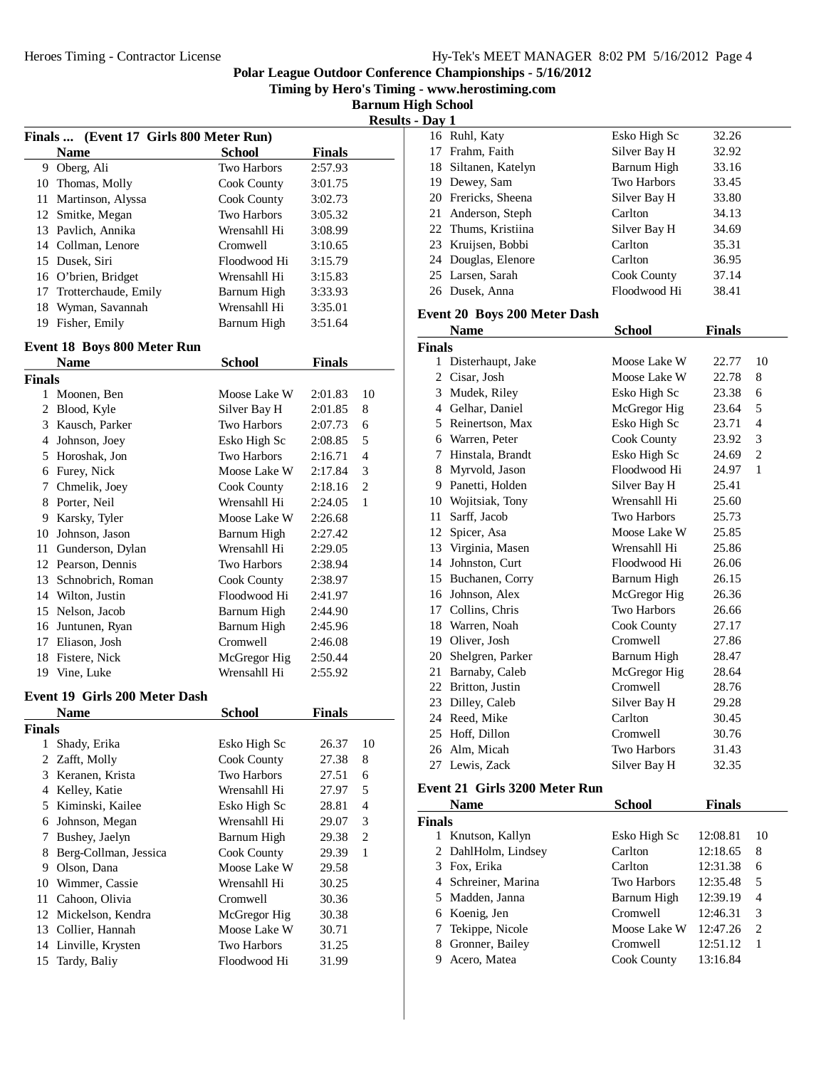**Timing by Hero's Timing - www.herostiming.com**

**Barnum High School Results - Day 1**

|               |                                        |                    |               | ILLJU |
|---------------|----------------------------------------|--------------------|---------------|-------|
|               | Finals  (Event 17 Girls 800 Meter Run) |                    |               |       |
|               | <b>Name</b>                            | School             | <b>Finals</b> |       |
| 9             | Oberg, Ali                             | Two Harbors        | 2:57.93       |       |
| 10            | Thomas, Molly                          | Cook County        | 3:01.75       |       |
| 11            | Martinson, Alyssa                      | Cook County        | 3:02.73       |       |
| 12            | Smitke, Megan                          | Two Harbors        | 3:05.32       |       |
| 13            | Pavlich, Annika                        | Wrensahll Hi       | 3:08.99       |       |
| 14            | Collman, Lenore                        | Cromwell           | 3:10.65       |       |
| 15            | Dusek, Siri                            | Floodwood Hi       | 3:15.79       |       |
| 16            | O'brien, Bridget                       | Wrensahll Hi       | 3:15.83       |       |
| 17            | Trotterchaude, Emily                   | Barnum High        | 3:33.93       |       |
| 18            | Wyman, Savannah                        | Wrensahll Hi       | 3:35.01       |       |
| 19            | Fisher, Emily                          | Barnum High        | 3:51.64       |       |
|               | <b>Event 18 Boys 800 Meter Run</b>     |                    |               |       |
|               | <b>Name</b>                            | School             | <b>Finals</b> |       |
| <b>Finals</b> |                                        |                    |               |       |
| 1             | Moonen, Ben                            | Moose Lake W       | 2:01.83       | 10    |
| 2             | Blood, Kyle                            | Silver Bay H       | 2:01.85       | 8     |
| 3             | Kausch, Parker                         | Two Harbors        | 2:07.73       | 6     |
| 4             | Johnson, Joey                          | Esko High Sc       | 2:08.85       | 5     |
| 5             | Horoshak, Jon                          | <b>Two Harbors</b> | 2:16.71       | 4     |
| 6             | Furey, Nick                            | Moose Lake W       | 2:17.84       | 3     |
|               |                                        |                    |               |       |

|        | таше              | penovi             | т пиатэ |    |
|--------|-------------------|--------------------|---------|----|
| Finals |                   |                    |         |    |
| 1      | Moonen, Ben       | Moose Lake W       | 2:01.83 | 10 |
| 2      | Blood, Kyle       | Silver Bay H       | 2:01.85 | 8  |
| 3      | Kausch, Parker    | Two Harbors        | 2:07.73 | 6  |
| 4      | Johnson, Joey     | Esko High Sc       | 2:08.85 | 5  |
| 5      | Horoshak, Jon     | <b>Two Harbors</b> | 2:16.71 | 4  |
| 6      | Furey, Nick       | Moose Lake W       | 2:17.84 | 3  |
| 7      | Chmelik, Joey     | Cook County        | 2:18.16 | 2  |
| 8      | Porter, Neil      | Wrensahll Hi       | 2:24.05 | 1  |
| 9      | Karsky, Tyler     | Moose Lake W       | 2:26.68 |    |
| 10     | Johnson, Jason    | Barnum High        | 2:27.42 |    |
| 11     | Gunderson, Dylan  | Wrensahll Hi       | 2:29.05 |    |
| 12     | Pearson, Dennis   | Two Harbors        | 2:38.94 |    |
| 13     | Schnobrich, Roman | Cook County        | 2:38.97 |    |
| 14     | Wilton, Justin    | Floodwood Hi       | 2:41.97 |    |
| 15     | Nelson, Jacob     | Barnum High        | 2:44.90 |    |
| 16     | Juntunen, Ryan    | Barnum High        | 2:45.96 |    |
| 17     | Eliason, Josh     | Cromwell           | 2:46.08 |    |
| 18     | Fistere, Nick     | McGregor Hig       | 2:50.44 |    |
| 19     | Vine, Luke        | Wrensahll Hi       | 2:55.92 |    |
|        |                   |                    |         |    |

#### **Event 19 Girls 200 Meter Dash**

|               | Name                  | <b>School</b>      | <b>Finals</b> |    |
|---------------|-----------------------|--------------------|---------------|----|
| <b>Finals</b> |                       |                    |               |    |
| 1             | Shady, Erika          | Esko High Sc       | 26.37         | 10 |
| 2             | Zafft, Molly          | Cook County        | 27.38         | 8  |
| 3             | Keranen, Krista       | Two Harbors        | 27.51         | 6  |
| 4             | Kelley, Katie         | Wrensahll Hi       | 27.97         | 5  |
|               | 5 Kiminski, Kailee    | Esko High Sc       | 28.81         | 4  |
| 6             | Johnson, Megan        | Wrensahll Hi       | 29.07         | 3  |
| 7             | Bushey, Jaelyn        | Barnum High        | 29.38         | 2  |
| 8             | Berg-Collman, Jessica | Cook County        | 29.39         | 1  |
| 9             | Olson, Dana           | Moose Lake W       | 29.58         |    |
|               | 10 Wimmer, Cassie     | Wrensahll Hi       | 30.25         |    |
| 11            | Cahoon, Olivia        | Cromwell           | 30.36         |    |
| 12            | Mickelson, Kendra     | McGregor Hig       | 30.38         |    |
| 13            | Collier, Hannah       | Moose Lake W       | 30.71         |    |
|               | 14 Linville, Krysten  | <b>Two Harbors</b> | 31.25         |    |
|               | 15 Tardy, Baliy       | Floodwood Hi       | 31.99         |    |

| рау 1 |                      |                    |       |
|-------|----------------------|--------------------|-------|
|       | 16 Ruhl, Katy        | Esko High Sc       | 32.26 |
|       | 17 Frahm, Faith      | Silver Bay H       | 32.92 |
|       | 18 Siltanen, Katelyn | Barnum High        | 33.16 |
|       | 19 Dewey, Sam        | <b>Two Harbors</b> | 33.45 |
|       | 20 Frericks, Sheena  | Silver Bay H       | 33.80 |
|       | 21 Anderson, Steph   | Carlton            | 34.13 |
|       | 22 Thums, Kristiina  | Silver Bay H       | 34.69 |
|       | 23 Kruijsen, Bobbi   | Carlton            | 35.31 |
|       | 24 Douglas, Elenore  | Carlton            | 36.95 |
|       | 25 Larsen, Sarah     | Cook County        | 37.14 |
|       | 26 Dusek, Anna       | Floodwood Hi       | 38.41 |
|       |                      |                    |       |

## **Event 20 Boys 200 Meter Dash**

|                | Name              | School             | Finals |                |
|----------------|-------------------|--------------------|--------|----------------|
| Finals         |                   |                    |        |                |
| 1              | Disterhaupt, Jake | Moose Lake W       | 22.77  | 10             |
| 2              | Cisar, Josh       | Moose Lake W       | 22.78  | 8              |
| 3              | Mudek, Riley      | Esko High Sc       | 23.38  | 6              |
| $\overline{4}$ | Gelhar, Daniel    | McGregor Hig       | 23.64  | 5              |
| 5              | Reinertson, Max   | Esko High Sc       | 23.71  | $\overline{4}$ |
| 6              | Warren, Peter     | Cook County        | 23.92  | 3              |
| 7              | Hinstala, Brandt  | Esko High Sc       | 24.69  | $\overline{2}$ |
| 8              | Myrvold, Jason    | Floodwood Hi       | 24.97  | 1              |
| 9              | Panetti, Holden   | Silver Bay H       | 25.41  |                |
| 10             | Wojitsiak, Tony   | Wrensahll Hi       | 25.60  |                |
| 11             | Sarff, Jacob      | <b>Two Harbors</b> | 25.73  |                |
| 12             | Spicer, Asa       | Moose Lake W       | 25.85  |                |
| 13             | Virginia, Masen   | Wrensahll Hi       | 25.86  |                |
| 14             | Johnston, Curt    | Floodwood Hi       | 26.06  |                |
| 15             | Buchanen, Corry   | Barnum High        | 26.15  |                |
| 16             | Johnson, Alex     | McGregor Hig       | 26.36  |                |
| 17             | Collins, Chris    | <b>Two Harbors</b> | 26.66  |                |
| 18             | Warren, Noah      | Cook County        | 27.17  |                |
| 19             | Oliver, Josh      | Cromwell           | 27.86  |                |
| 20             | Shelgren, Parker  | Barnum High        | 28.47  |                |
| 21             | Barnaby, Caleb    | McGregor Hig       | 28.64  |                |
| 22             | Britton, Justin   | Cromwell           | 28.76  |                |
|                | 23 Dilley, Caleb  | Silver Bay H       | 29.28  |                |
| 24             | Reed, Mike        | Carlton            | 30.45  |                |
| 25             | Hoff, Dillon      | Cromwell           | 30.76  |                |
| 26             | Alm, Micah        | <b>Two Harbors</b> | 31.43  |                |
| 27             | Lewis, Zack       | Silver Bay H       | 32.35  |                |
|                |                   |                    |        |                |

# **Event 21 Girls 3200 Meter Run**

|        | <b>Name</b>         | <b>School</b> | Finals   |    |
|--------|---------------------|---------------|----------|----|
| Finals |                     |               |          |    |
| L      | Knutson, Kallyn     | Esko High Sc  | 12:08.81 | 10 |
|        | 2 DahlHolm, Lindsey | Carlton       | 12:18.65 | 8  |
|        | 3 Fox, Erika        | Carlton       | 12:31.38 | 6  |
|        | 4 Schreiner, Marina | Two Harbors   | 12:35.48 | 5  |
|        | 5 Madden, Janna     | Barnum High   | 12:39.19 | 4  |
|        | 6 Koenig, Jen       | Cromwell      | 12:46.31 | 3  |
|        | 7 Tekippe, Nicole   | Moose Lake W  | 12:47.26 | 2  |
| 8      | Gronner, Bailey     | Cromwell      | 12:51.12 | 1  |
|        | Acero, Matea        | Cook County   | 13:16.84 |    |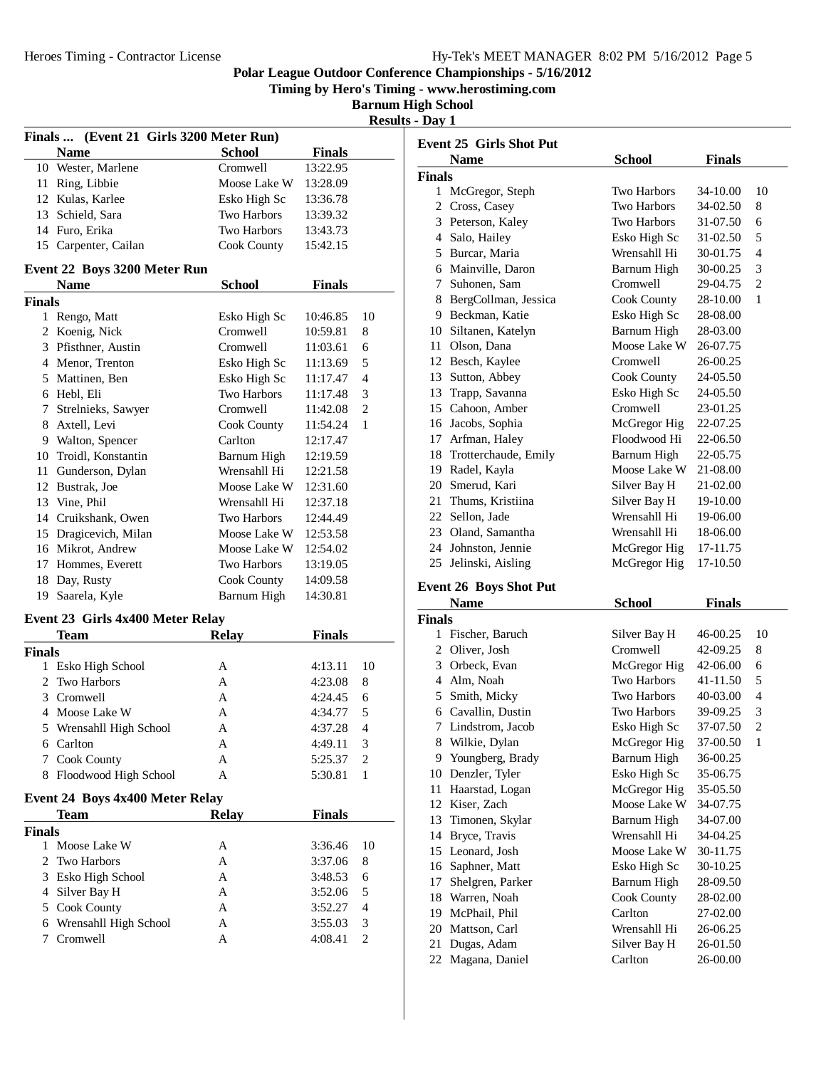**Timing by Hero's Timing - www.herostiming.com**

**Barnum High School Results - Day 1**

| Finals  (Event 21 Girls 3200 Meter Run) |                                             |                                    |               |                |
|-----------------------------------------|---------------------------------------------|------------------------------------|---------------|----------------|
|                                         | <b>Name</b>                                 | <b>School</b>                      | <b>Finals</b> |                |
|                                         | 10 Wester, Marlene                          | Cromwell                           | 13:22.95      |                |
|                                         | 11 Ring, Libbie                             | Moose Lake W                       | 13:28.09      |                |
|                                         | 12 Kulas, Karlee                            | Esko High Sc                       | 13:36.78      |                |
|                                         | 13 Schield, Sara                            | <b>Two Harbors</b>                 | 13:39.32      |                |
|                                         | 14 Furo, Erika                              | <b>Two Harbors</b>                 | 13:43.73      |                |
|                                         | 15 Carpenter, Cailan                        | Cook County                        | 15:42.15      |                |
|                                         |                                             |                                    |               |                |
|                                         | Event 22 Boys 3200 Meter Run<br><b>Name</b> | <b>School</b>                      | <b>Finals</b> |                |
| <b>Finals</b>                           |                                             |                                    |               |                |
|                                         | 1 Rengo, Matt                               | Esko High Sc                       | 10:46.85      | 10             |
| 2                                       | Koenig, Nick                                | Cromwell                           | 10:59.81      | 8              |
|                                         | 3 Pfisthner, Austin                         | Cromwell                           | 11:03.61      | 6              |
|                                         | 4 Menor, Trenton                            |                                    |               | 5              |
|                                         |                                             | Esko High Sc                       | 11:13.69      | 4              |
|                                         | 5 Mattinen, Ben                             | Esko High Sc<br><b>Two Harbors</b> | 11:17.47      |                |
|                                         | 6 Hebl, Eli                                 |                                    | 11:17.48      | 3              |
|                                         | 7 Strelnieks, Sawyer                        | Cromwell                           | 11:42.08      | $\overline{c}$ |
|                                         | 8 Axtell, Levi                              | Cook County                        | 11:54.24      | 1              |
|                                         | 9 Walton, Spencer                           | Carlton                            | 12:17.47      |                |
|                                         | 10 Troidl, Konstantin                       | Barnum High                        | 12:19.59      |                |
|                                         | 11 Gunderson, Dylan                         | Wrensahll Hi                       | 12:21.58      |                |
|                                         | 12 Bustrak, Joe                             | Moose Lake W                       | 12:31.60      |                |
|                                         | 13 Vine, Phil                               | Wrensahll Hi                       | 12:37.18      |                |
|                                         | 14 Cruikshank, Owen                         | <b>Two Harbors</b>                 | 12:44.49      |                |
|                                         | 15 Dragicevich, Milan                       | Moose Lake W                       | 12:53.58      |                |
|                                         | 16 Mikrot, Andrew                           | Moose Lake W                       | 12:54.02      |                |
|                                         | 17 Hommes, Everett                          | <b>Two Harbors</b>                 | 13:19.05      |                |
|                                         | 18 Day, Rusty                               | Cook County                        | 14:09.58      |                |
| 19                                      | Saarela, Kyle                               | Barnum High                        | 14:30.81      |                |
|                                         | Event 23 Girls 4x400 Meter Relay            |                                    |               |                |
|                                         | <b>Team</b>                                 | <b>Relay</b>                       | <b>Finals</b> |                |
| <b>Finals</b>                           |                                             |                                    |               |                |
|                                         | 1 Esko High School                          | А                                  | 4:13.11       | 10             |
|                                         | 2 Two Harbors                               | A                                  | 4:23.08       | 8              |
|                                         | 3 Cromwell                                  | A                                  | 4:24.45       | 6              |
|                                         | 4 Moose Lake W                              | A                                  | 4:34.77       | 5              |
| 5                                       | Wrensahll High School                       | A                                  | 4:37.28       | 4              |
|                                         | 6 Carlton                                   | Α                                  | 4:49.11       | 3              |
| 7                                       | Cook County                                 | A                                  | 5:25.37       | $\overline{c}$ |
| 8                                       | Floodwood High School                       | A                                  | 5:30.81       | 1              |
|                                         |                                             |                                    |               |                |
|                                         | Event 24 Boys 4x400 Meter Relay             | <b>Relay</b>                       |               |                |
|                                         | <b>Team</b>                                 |                                    | <b>Finals</b> |                |
| <b>Finals</b>                           |                                             |                                    |               |                |
| 1                                       | Moose Lake W                                | Α                                  | 3:36.46       | 10             |
| 2                                       | Two Harbors                                 | Α                                  | 3:37.06       | 8              |
| 3                                       | Esko High School                            | Α                                  | 3:48.53       | 6              |
|                                         | 4 Silver Bay H                              | A                                  | 3:52.06       | 5              |
| 5                                       | Cook County                                 | A                                  | 3:52.27       | 4              |
| 6                                       | Wrensahll High School                       | Α                                  | 3:55.03       | 3              |
| 7                                       | Cromwell                                    | Α                                  | 4:08.41       | $\overline{c}$ |

|               | <b>Event 25 Girls Shot Put</b> |                    |               |                |  |
|---------------|--------------------------------|--------------------|---------------|----------------|--|
|               | <b>Name</b>                    | <b>School</b>      | <b>Finals</b> |                |  |
| <b>Finals</b> |                                |                    |               |                |  |
|               | 1 McGregor, Steph              | <b>Two Harbors</b> | 34-10.00      | 10             |  |
| 2             | Cross, Casey                   | <b>Two Harbors</b> | 34-02.50      | 8              |  |
|               | 3 Peterson, Kaley              | <b>Two Harbors</b> | 31-07.50      | 6              |  |
| 4             | Salo, Hailey                   | Esko High Sc       | 31-02.50      | 5              |  |
|               | 5 Burcar, Maria                | Wrensahll Hi       | 30-01.75      | $\overline{4}$ |  |
|               | 6 Mainville, Daron             | Barnum High        | 30-00.25      | 3              |  |
| 7             | Suhonen, Sam                   | Cromwell           | 29-04.75      | $\overline{2}$ |  |
|               | 8 BergCollman, Jessica         | Cook County        | 28-10.00      | 1              |  |
| 9             | Beckman, Katie                 | Esko High Sc       | 28-08.00      |                |  |
|               | 10 Siltanen, Katelyn           | Barnum High        | 28-03.00      |                |  |
| 11            | Olson, Dana                    | Moose Lake W       | 26-07.75      |                |  |
| 12            | Besch, Kaylee                  | Cromwell           | 26-00.25      |                |  |
|               | 13 Sutton, Abbey               | Cook County        | 24-05.50      |                |  |
|               | 13 Trapp, Savanna              | Esko High Sc       | 24-05.50      |                |  |
|               | 15 Cahoon, Amber               | Cromwell           | 23-01.25      |                |  |
| 16            | Jacobs, Sophia                 | McGregor Hig       | 22-07.25      |                |  |
| 17            | Arfman, Haley                  | Floodwood Hi       | 22-06.50      |                |  |
| 18            | Trotterchaude, Emily           | Barnum High        | 22-05.75      |                |  |
| 19            | Radel, Kayla                   | Moose Lake W       | 21-08.00      |                |  |
| 20            | Smerud, Kari                   | Silver Bay H       | 21-02.00      |                |  |
|               | 21 Thums, Kristiina            | Silver Bay H       | 19-10.00      |                |  |
|               | 22 Sellon, Jade                | Wrensahll Hi       | 19-06.00      |                |  |
|               | 23 Oland, Samantha             | Wrensahll Hi       | 18-06.00      |                |  |
|               | 24 Johnston, Jennie            | McGregor Hig       | 17-11.75      |                |  |
| 25            | Jelinski, Aisling              | McGregor Hig       | 17-10.50      |                |  |
|               |                                |                    |               |                |  |

# **Event 26 Boys Shot Put**

|               | Name             | School             | <b>Finals</b> |                |
|---------------|------------------|--------------------|---------------|----------------|
| <b>Finals</b> |                  |                    |               |                |
| 1             | Fischer, Baruch  | Silver Bay H       | 46-00.25      | 10             |
| 2             | Oliver, Josh     | Cromwell           | 42-09.25      | 8              |
| 3             | Orbeck, Evan     | McGregor Hig       | 42-06.00      | 6              |
| 4             | Alm, Noah        | <b>Two Harbors</b> | 41-11.50      | 5              |
| 5             | Smith, Micky     | Two Harbors        | 40-03.00      | 4              |
| 6             | Cavallin, Dustin | <b>Two Harbors</b> | 39-09.25      | 3              |
| 7             | Lindstrom, Jacob | Esko High Sc       | 37-07.50      | $\overline{c}$ |
| 8             | Wilkie, Dylan    | McGregor Hig       | 37-00.50      | 1              |
| 9             | Youngberg, Brady | Barnum High        | 36-00.25      |                |
| 10            | Denzler, Tyler   | Esko High Sc       | 35-06.75      |                |
| 11            | Haarstad, Logan  | McGregor Hig       | 35-05.50      |                |
| 12            | Kiser, Zach      | Moose Lake W       | 34-07.75      |                |
| 13            | Timonen, Skylar  | Barnum High        | 34-07.00      |                |
| 14            | Bryce, Travis    | Wrensahll Hi       | 34-04.25      |                |
| 15            | Leonard, Josh    | Moose Lake W       | 30-11.75      |                |
| 16            | Saphner, Matt    | Esko High Sc       | 30-10.25      |                |
| 17            | Shelgren, Parker | Barnum High        | 28-09.50      |                |
| 18            | Warren, Noah     | Cook County        | 28-02.00      |                |
| 19            | McPhail, Phil    | Carlton            | 27-02.00      |                |
| 20            | Mattson, Carl    | Wrensahll Hi       | 26-06.25      |                |
| 21            | Dugas, Adam      | Silver Bay H       | 26-01.50      |                |
| 22            | Magana, Daniel   | Carlton            | 26-00.00      |                |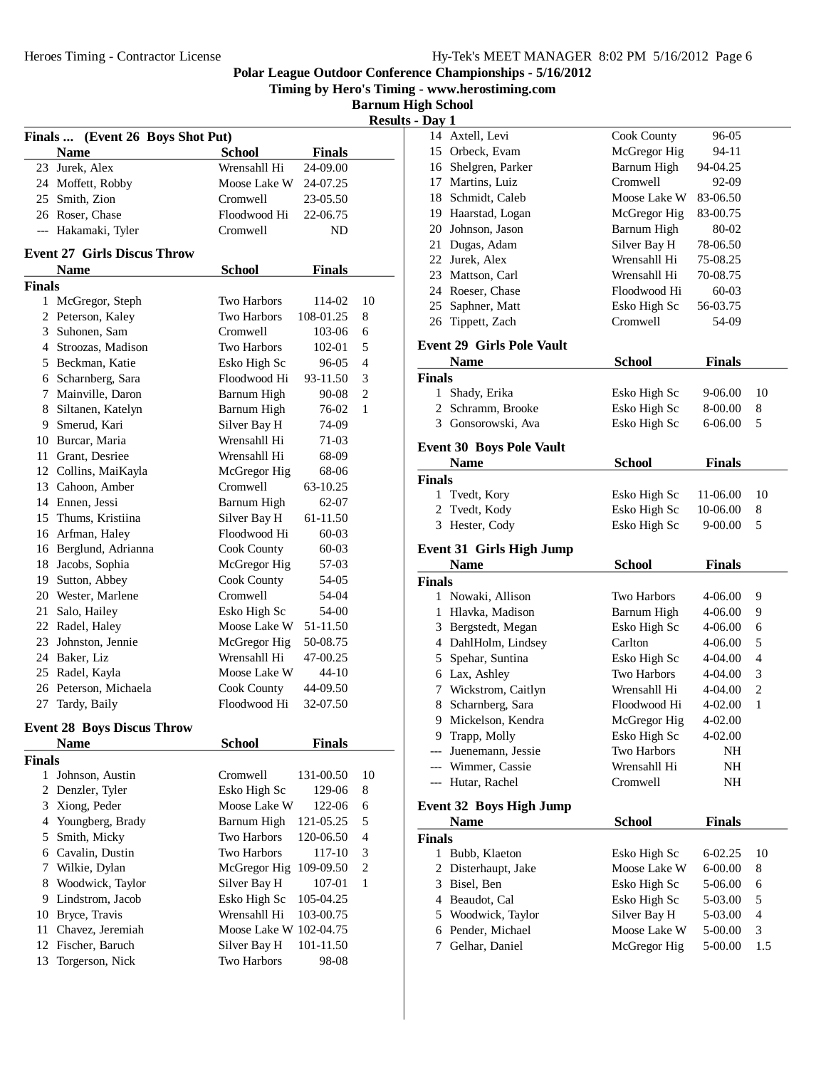**Timing by Hero's Timing - www.herostiming.com**

**Barnum High School Results** -

| Finals  (Event 26 Boys Shot Put) |                                    |                        |               |                          |
|----------------------------------|------------------------------------|------------------------|---------------|--------------------------|
|                                  | <b>Name</b>                        | <b>School</b>          | <b>Finals</b> |                          |
|                                  | 23 Jurek, Alex                     | Wrensahll Hi           | 24-09.00      |                          |
|                                  | 24 Moffett, Robby                  | Moose Lake W           | 24-07.25      |                          |
|                                  | 25 Smith, Zion                     | Cromwell               | 23-05.50      |                          |
|                                  | 26 Roser, Chase                    | Floodwood Hi           | 22-06.75      |                          |
|                                  | --- Hakamaki, Tyler                | Cromwell               | ND            |                          |
|                                  | <b>Event 27 Girls Discus Throw</b> |                        |               |                          |
|                                  | <b>Name</b>                        | <b>School</b>          | <b>Finals</b> |                          |
| <b>Finals</b>                    |                                    |                        |               |                          |
|                                  | 1 McGregor, Steph                  | <b>Two Harbors</b>     | 114-02        | 10                       |
|                                  | 2 Peterson, Kaley                  | <b>Two Harbors</b>     | 108-01.25     | 8                        |
|                                  | 3 Suhonen, Sam                     | Cromwell               | 103-06        | 6                        |
|                                  | 4 Stroozas, Madison                | <b>Two Harbors</b>     | 102-01        | 5                        |
|                                  | 5 Beckman, Katie                   | Esko High Sc           | 96-05         | 4                        |
|                                  | 6 Scharnberg, Sara                 | Floodwood Hi           | 93-11.50      | 3                        |
|                                  | 7 Mainville, Daron                 | Barnum High            | 90-08         | 2                        |
|                                  | 8 Siltanen, Katelyn                | Barnum High            | 76-02         | 1                        |
|                                  | 9 Smerud, Kari                     | Silver Bay H           | 74-09         |                          |
|                                  | 10 Burcar, Maria                   | Wrensahll Hi           | 71-03         |                          |
|                                  | 11 Grant, Desriee                  | Wrensahll Hi           | 68-09         |                          |
|                                  | 12 Collins, MaiKayla               | McGregor Hig           | 68-06         |                          |
|                                  | 13 Cahoon, Amber                   | Cromwell               | 63-10.25      |                          |
|                                  | 14 Ennen, Jessi                    | Barnum High            | $62 - 07$     |                          |
|                                  | 15 Thums, Kristiina                | Silver Bay H           | 61-11.50      |                          |
|                                  | 16 Arfman, Haley                   | Floodwood Hi           | 60-03         |                          |
|                                  | 16 Berglund, Adrianna              | Cook County            | 60-03         |                          |
|                                  | 18 Jacobs, Sophia                  | McGregor Hig           | 57-03         |                          |
|                                  | 19 Sutton, Abbey                   | Cook County            | 54-05         |                          |
|                                  | 20 Wester, Marlene                 | Cromwell               | 54-04         |                          |
| 21                               | Salo, Hailey                       | Esko High Sc           | 54-00         |                          |
|                                  | 22 Radel, Haley                    | Moose Lake W           | 51-11.50      |                          |
|                                  | 23 Johnston, Jennie                | McGregor Hig           | 50-08.75      |                          |
|                                  | 24 Baker, Liz                      | Wrensahll Hi           | 47-00.25      |                          |
|                                  | 25 Radel, Kayla                    | Moose Lake W           | 44-10         |                          |
|                                  | 26 Peterson, Michaela              | Cook County            | 44-09.50      |                          |
| 27                               | Tardy, Baily                       | Floodwood Hi           | 32-07.50      |                          |
|                                  | <b>Event 28 Boys Discus Throw</b>  |                        |               |                          |
|                                  | <b>Name</b>                        | <b>School</b>          | <b>Finals</b> |                          |
| <b>Finals</b>                    |                                    |                        |               |                          |
| 1                                | Johnson, Austin                    | Cromwell               | 131-00.50     | 10                       |
| 2                                | Denzler, Tyler                     | Esko High Sc           | 129-06        | 8                        |
| 3                                | Xiong, Peder                       | Moose Lake W           | 122-06        | 6                        |
| 4                                | Youngberg, Brady                   | Barnum High            | 121-05.25     | 5                        |
| 5                                | Smith, Micky                       | Two Harbors            | 120-06.50     | $\overline{\mathcal{L}}$ |
| 6                                | Cavalin, Dustin                    | <b>Two Harbors</b>     | 117-10        | 3                        |
| 7                                | Wilkie, Dylan                      | McGregor Hig           | 109-09.50     | $\overline{\mathbf{c}}$  |
| 8                                | Woodwick, Taylor                   | Silver Bay H           | 107-01        | 1                        |
| 9                                | Lindstrom, Jacob                   | Esko High Sc           | 105-04.25     |                          |
| 10                               | Bryce, Travis                      | Wrensahll Hi           | 103-00.75     |                          |
| 11                               | Chavez, Jeremiah                   | Moose Lake W 102-04.75 |               |                          |
| 12                               | Fischer, Baruch                    | Silver Bay H           | 101-11.50     |                          |
| 13                               | Torgerson, Nick                    | Two Harbors            | 98-08         |                          |
|                                  |                                    |                        |               |                          |

| Axtell, Levi<br>14<br>Cook County<br>15 Orbeck, Evam<br>McGregor Hig<br>Barnum High<br>16 Shelgren, Parker<br>Cromwell<br>17 Martins, Luiz<br>18 Schmidt, Caleb<br>Moose Lake W<br>McGregor Hig<br>19 Haarstad, Logan<br>20 Johnson, Jason<br>Barnum High | 96-05<br>94-11     |                               |
|-----------------------------------------------------------------------------------------------------------------------------------------------------------------------------------------------------------------------------------------------------------|--------------------|-------------------------------|
|                                                                                                                                                                                                                                                           |                    |                               |
|                                                                                                                                                                                                                                                           |                    |                               |
|                                                                                                                                                                                                                                                           | 94-04.25           |                               |
|                                                                                                                                                                                                                                                           | 92-09              |                               |
|                                                                                                                                                                                                                                                           | 83-06.50           |                               |
|                                                                                                                                                                                                                                                           | 83-00.75           |                               |
|                                                                                                                                                                                                                                                           | 80-02              |                               |
| 21 Dugas, Adam<br>Silver Bay H                                                                                                                                                                                                                            | 78-06.50           |                               |
| 22 Jurek, Alex<br>Wrensahll Hi                                                                                                                                                                                                                            | 75-08.25           |                               |
| 23 Mattson, Carl<br>Wrensahll Hi                                                                                                                                                                                                                          | 70-08.75           |                               |
| 24 Roeser, Chase<br>Floodwood Hi                                                                                                                                                                                                                          | 60-03              |                               |
| 25<br>Saphner, Matt<br>Esko High Sc                                                                                                                                                                                                                       | 56-03.75           |                               |
| Tippett, Zach<br>Cromwell<br>26                                                                                                                                                                                                                           | 54-09              |                               |
| <b>Event 29 Girls Pole Vault</b>                                                                                                                                                                                                                          |                    |                               |
|                                                                                                                                                                                                                                                           |                    |                               |
| <b>School</b><br><b>Name</b>                                                                                                                                                                                                                              | <b>Finals</b>      |                               |
| <b>Finals</b>                                                                                                                                                                                                                                             |                    |                               |
| Shady, Erika<br>Esko High Sc<br>1                                                                                                                                                                                                                         | 9-06.00            | 10                            |
| 2<br>Schramm, Brooke<br>Esko High Sc                                                                                                                                                                                                                      | 8-00.00            | 8                             |
| Gonsorowski, Ava<br>3<br>Esko High Sc                                                                                                                                                                                                                     | 6-06.00            | 5                             |
| <b>Event 30 Boys Pole Vault</b>                                                                                                                                                                                                                           |                    |                               |
| <b>School</b><br><b>Name</b>                                                                                                                                                                                                                              | <b>Finals</b>      |                               |
| <b>Finals</b>                                                                                                                                                                                                                                             |                    |                               |
| 1<br>Tvedt, Kory<br>Esko High Sc                                                                                                                                                                                                                          | 11-06.00           | 10                            |
| Tvedt, Kody<br>Esko High Sc<br>2                                                                                                                                                                                                                          | 10-06.00           | 8                             |
| 3<br>Hester, Cody<br>Esko High Sc                                                                                                                                                                                                                         | 9-00.00            | 5                             |
|                                                                                                                                                                                                                                                           |                    |                               |
| <b>Event 31 Girls High Jump</b>                                                                                                                                                                                                                           |                    |                               |
| <b>School</b><br><b>Name</b>                                                                                                                                                                                                                              | <b>Finals</b>      |                               |
|                                                                                                                                                                                                                                                           |                    |                               |
| Finals                                                                                                                                                                                                                                                    |                    |                               |
| Nowaki, Allison<br>Two Harbors<br>1                                                                                                                                                                                                                       | 4-06.00            | 9                             |
| 1<br>Hlavka, Madison<br>Barnum High                                                                                                                                                                                                                       | 4-06.00            | 9                             |
| Esko High Sc<br>3<br>Bergstedt, Megan                                                                                                                                                                                                                     | 4-06.00            | 6                             |
| 4 DahlHolm, Lindsey<br>Carlton                                                                                                                                                                                                                            | 4-06.00            | 5                             |
| 5 Spehar, Suntina<br>Esko High Sc                                                                                                                                                                                                                         | 4-04.00            | 4                             |
| 6 Lax, Ashley<br>Two Harbors                                                                                                                                                                                                                              | 4-04.00            | 3                             |
| 7 Wickstrom, Caitlyn<br>Wrensahll Hi                                                                                                                                                                                                                      | 4-04.00            | $\overline{c}$                |
| Scharnberg, Sara<br>Floodwood Hi<br>8                                                                                                                                                                                                                     | 4-02.00            | 1                             |
| 9 Mickelson, Kendra<br>McGregor Hig                                                                                                                                                                                                                       | 4-02.00            |                               |
| 9 Trapp, Molly<br>Esko High Sc                                                                                                                                                                                                                            | 4-02.00            |                               |
| --- Juenemann, Jessie<br>Two Harbors                                                                                                                                                                                                                      | NH                 |                               |
| --- Wimmer, Cassie<br>Wrensahll Hi                                                                                                                                                                                                                        | NH                 |                               |
| --- Hutar, Rachel<br>Cromwell                                                                                                                                                                                                                             | NH                 |                               |
|                                                                                                                                                                                                                                                           |                    |                               |
| <b>Event 32 Boys High Jump</b>                                                                                                                                                                                                                            |                    |                               |
| <b>School</b><br><b>Name</b>                                                                                                                                                                                                                              | <b>Finals</b>      |                               |
| <b>Finals</b><br>1                                                                                                                                                                                                                                        | $6 - 02.25$        | 10                            |
| Bubb, Klaeton<br>Esko High Sc<br>Moose Lake W                                                                                                                                                                                                             |                    | 8                             |
| 2 Disterhaupt, Jake<br>3                                                                                                                                                                                                                                  | 6-00.00<br>5-06.00 | 6                             |
| Bisel, Ben<br>Esko High Sc                                                                                                                                                                                                                                |                    |                               |
| 4 Beaudot, Cal<br>Esko High Sc                                                                                                                                                                                                                            | 5-03.00<br>5-03.00 | 5<br>$\overline{\mathcal{A}}$ |
| 5 Woodwick, Taylor<br>Silver Bay H<br>Moose Lake W                                                                                                                                                                                                        | 5-00.00            |                               |
| 6 Pender, Michael<br>Gelhar, Daniel<br>McGregor Hig<br>7                                                                                                                                                                                                  | 5-00.00            | 3<br>1.5                      |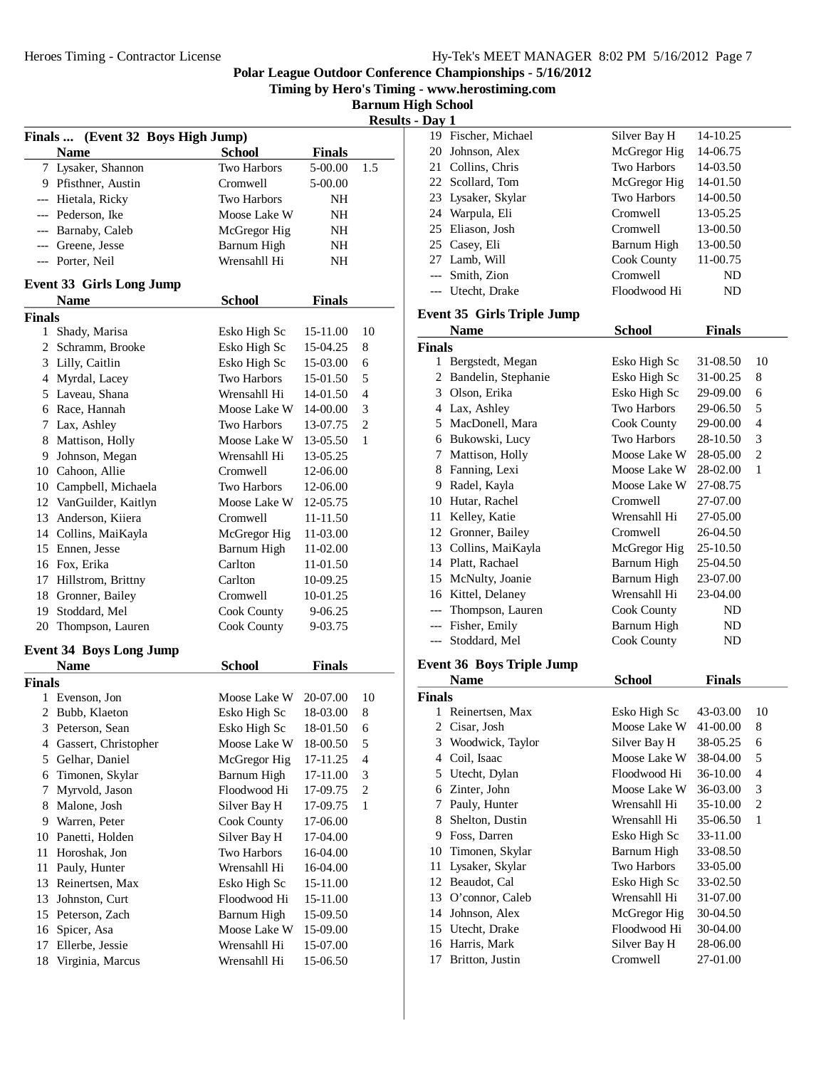**Timing by Hero's Timing - www.herostiming.com**

**Barnum High School Results - Day 1**

|               | Finals  (Event 32 Boys High Jump) |                    |               | musu           |
|---------------|-----------------------------------|--------------------|---------------|----------------|
|               | <b>Name</b>                       | <b>School</b>      | <b>Finals</b> |                |
|               | 7 Lysaker, Shannon                | <b>Two Harbors</b> | 5-00.00       | 1.5            |
|               | 9 Pfisthner, Austin               | Cromwell           | 5-00.00       |                |
|               | --- Hietala, Ricky                | Two Harbors        | NH            |                |
|               | --- Pederson, Ike                 | Moose Lake W       | NΗ            |                |
|               | --- Barnaby, Caleb                | McGregor Hig       | NH            |                |
|               | --- Greene, Jesse                 | Barnum High        | NH            |                |
|               | --- Porter, Neil                  | Wrensahll Hi       | NΗ            |                |
|               |                                   |                    |               |                |
|               | <b>Event 33 Girls Long Jump</b>   |                    |               |                |
|               | <b>Name</b>                       | <b>School</b>      | <b>Finals</b> |                |
| <b>Finals</b> |                                   |                    |               |                |
| 1             | Shady, Marisa                     | Esko High Sc       | 15-11.00      | 10             |
|               | 2 Schramm, Brooke                 | Esko High Sc       | 15-04.25      | 8              |
|               | 3 Lilly, Caitlin                  | Esko High Sc       | 15-03.00      | 6              |
|               | 4 Myrdal, Lacey                   | Two Harbors        | 15-01.50      | 5              |
|               | 5 Laveau, Shana                   | Wrensahll Hi       | 14-01.50      | 4              |
|               | 6 Race, Hannah                    | Moose Lake W       | 14-00.00      | 3              |
|               | 7 Lax, Ashley                     | Two Harbors        | 13-07.75      | $\overline{c}$ |
|               | 8 Mattison, Holly                 | Moose Lake W       | 13-05.50      | 1              |
|               | 9 Johnson, Megan                  | Wrensahll Hi       | 13-05.25      |                |
|               | 10 Cahoon, Allie                  | Cromwell           | 12-06.00      |                |
|               | 10 Campbell, Michaela             | <b>Two Harbors</b> | 12-06.00      |                |
|               | 12 VanGuilder, Kaitlyn            | Moose Lake W       | 12-05.75      |                |
|               | 13 Anderson, Kiiera               | Cromwell           | 11-11.50      |                |
|               | 14 Collins, MaiKayla              | McGregor Hig       | 11-03.00      |                |
|               | 15 Ennen, Jesse                   | Barnum High        | 11-02.00      |                |
|               | 16 Fox, Erika                     | Carlton            | 11-01.50      |                |
|               | 17 Hillstrom, Brittny             | Carlton            | 10-09.25      |                |
|               | 18 Gronner, Bailey                | Cromwell           | 10-01.25      |                |
|               | 19 Stoddard, Mel                  | Cook County        | 9-06.25       |                |
|               | 20 Thompson, Lauren               | Cook County        | 9-03.75       |                |
|               | <b>Event 34 Boys Long Jump</b>    |                    |               |                |
|               | <b>Name</b>                       | <b>School</b>      | <b>Finals</b> |                |
| <b>Finals</b> |                                   |                    |               |                |
| 1             | Evenson, Jon                      | Moose Lake W       | 20-07.00      | 10             |
| 2             | Bubb, Klaeton                     | Esko High Sc       | 18-03.00      | 8              |
|               | 3 Peterson, Sean                  | Esko High Sc       | 18-01.50      | 6              |
|               | 4 Gassert, Christopher            | Moose Lake W       | 18-00.50      | 5              |
| 5             | Gelhar, Daniel                    | McGregor Hig       | 17-11.25      | $\overline{4}$ |
| 6             | Timonen, Skylar                   | Barnum High        | 17-11.00      | 3              |
| 7             | Myrvold, Jason                    | Floodwood Hi       | 17-09.75      | $\mathfrak{2}$ |
| 8             | Malone, Josh                      | Silver Bay H       | 17-09.75      | 1              |
| 9             | Warren, Peter                     | Cook County        | 17-06.00      |                |
| 10            | Panetti, Holden                   | Silver Bay H       | 17-04.00      |                |
| 11            | Horoshak, Jon                     | Two Harbors        | 16-04.00      |                |
| 11            | Pauly, Hunter                     | Wrensahll Hi       | 16-04.00      |                |
| 13            | Reinertsen, Max                   | Esko High Sc       | 15-11.00      |                |
| 13            | Johnston, Curt                    | Floodwood Hi       | 15-11.00      |                |
| 15            | Peterson, Zach                    | Barnum High        | 15-09.50      |                |
| 16            | Spicer, Asa                       | Moose Lake W       | 15-09.00      |                |
| 17            | Ellerbe, Jessie                   | Wrensahll Hi       | 15-07.00      |                |
| 18            | Virginia, Marcus                  | Wrensahll Hi       | 15-06.50      |                |
|               |                                   |                    |               |                |

| vay 1          |                                   |                             |                      |                |
|----------------|-----------------------------------|-----------------------------|----------------------|----------------|
|                | 19 Fischer, Michael               | Silver Bay H                | 14-10.25             |                |
|                | 20 Johnson, Alex                  | McGregor Hig                | 14-06.75             |                |
|                | 21 Collins, Chris                 | Two Harbors                 | 14-03.50             |                |
|                | 22 Scollard, Tom                  | McGregor Hig                | 14-01.50             |                |
|                | 23 Lysaker, Skylar                | Two Harbors                 | 14-00.50             |                |
|                | 24 Warpula, Eli                   | Cromwell                    | 13-05.25             |                |
| 25             | Eliason, Josh                     | Cromwell                    | 13-00.50             |                |
|                | 25 Casey, Eli                     | Barnum High                 | 13-00.50             |                |
|                | 27 Lamb, Will                     | Cook County                 | 11-00.75             |                |
|                | --- Smith, Zion                   | Cromwell                    | ND                   |                |
|                | --- Utecht, Drake                 | Floodwood Hi                | ND                   |                |
|                | <b>Event 35 Girls Triple Jump</b> |                             |                      |                |
|                | <b>Name</b>                       | <b>School</b>               | <b>Finals</b>        |                |
| Finals         |                                   |                             |                      |                |
|                | 1 Bergstedt, Megan                | Esko High Sc                | 31-08.50             | 10             |
|                | 2 Bandelin, Stephanie             | Esko High Sc                | 31-00.25             | 8              |
|                | 3 Olson, Erika                    | Esko High Sc                | 29-09.00             | 6              |
|                | 4 Lax, Ashley                     | Two Harbors                 | 29-06.50             | 5              |
|                | 5 MacDonell, Mara                 | Cook County                 | 29-00.00             | 4              |
|                | 6 Bukowski, Lucy                  | Two Harbors                 | 28-10.50             | 3              |
| 7              | Mattison, Holly                   | Moose Lake W                | 28-05.00             | $\overline{c}$ |
|                | 8 Fanning, Lexi                   | Moose Lake W                | 28-02.00             | 1              |
|                | 9 Radel, Kayla                    | Moose Lake W                | 27-08.75             |                |
|                | 10 Hutar, Rachel                  | Cromwell                    | 27-07.00             |                |
| 11             | Kelley, Katie                     | Wrensahll Hi                | 27-05.00             |                |
|                | 12 Gronner, Bailey                | Cromwell                    | 26-04.50             |                |
|                | 13 Collins, MaiKayla              | McGregor Hig                | 25-10.50             |                |
|                | 14 Platt, Rachael                 | Barnum High                 | 25-04.50             |                |
|                | 15 McNulty, Joanie                |                             |                      |                |
|                |                                   | Barnum High<br>Wrensahll Hi | 23-07.00<br>23-04.00 |                |
|                | 16 Kittel, Delaney                |                             |                      |                |
|                | --- Thompson, Lauren              | Cook County                 | ND                   |                |
|                | --- Fisher, Emily                 | Barnum High                 | ND                   |                |
| ---            | Stoddard, Mel                     | Cook County                 | ND.                  |                |
|                | <b>Event 36 Boys Triple Jump</b>  |                             |                      |                |
|                | <b>Name</b>                       | <b>School</b>               | <b>Finals</b>        |                |
| Finals         |                                   |                             |                      |                |
| 1              | Reinertsen, Max                   | Esko High Sc                | 43-03.00             | 10             |
|                | 2 Cisar, Josh                     | Moose Lake W 41-00.00       |                      | 8              |
| 3              | Woodwick, Taylor                  | Silver Bay H                | 38-05.25             | 6              |
| $\overline{4}$ | Coil, Isaac                       | Moose Lake W                | 38-04.00             | 5              |
| 5              | Utecht, Dylan                     | Floodwood Hi                | 36-10.00             | $\overline{4}$ |
| 6              | Zinter, John                      | Moose Lake W                | 36-03.00             | 3              |
| 7              | Pauly, Hunter                     | Wrensahll Hi                | 35-10.00             | $\overline{c}$ |
| 8              | Shelton, Dustin                   | Wrensahll Hi                | 35-06.50             | $\mathbf{1}$   |
| 9              | Foss, Darren                      | Esko High Sc                | 33-11.00             |                |
| 10             | Timonen, Skylar                   | Barnum High                 | 33-08.50             |                |
| 11             | Lysaker, Skylar                   | Two Harbors                 | 33-05.00             |                |
| 12             | Beaudot, Cal                      | Esko High Sc                | 33-02.50             |                |
| 13             | O'connor, Caleb                   | Wrensahll Hi                | 31-07.00             |                |
| 14             | Johnson, Alex                     | McGregor Hig                | 30-04.50             |                |
| 15             | Utecht, Drake                     | Floodwood Hi                | 30-04.00             |                |
| 16             | Harris, Mark                      | Silver Bay H                | 28-06.00             |                |
|                | Britton, Justin                   | Cromwell                    | 27-01.00             |                |